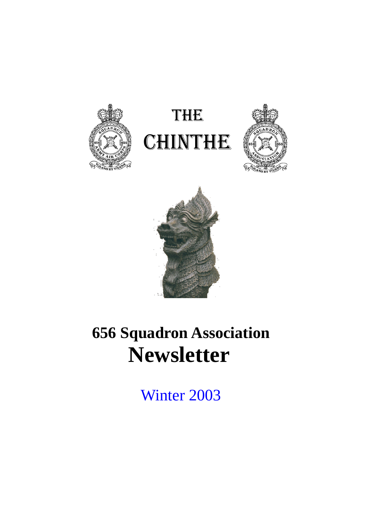







# **656 Squadron Association Newsletter**

Winter 2003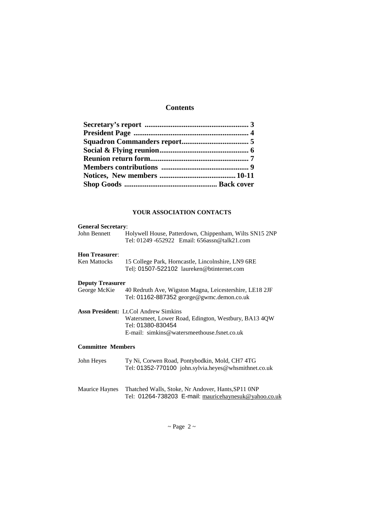# **Contents**

#### **YOUR ASSOCIATION CONTACTS**

| <b>General Secretary:</b> |                                                                                                        |  |  |  |
|---------------------------|--------------------------------------------------------------------------------------------------------|--|--|--|
| John Bennett              | Holywell House, Patterdown, Chippenham, Wilts SN15 2NP<br>Tel: 01249 -652922 Email: 656assn@talk21.com |  |  |  |
| <b>Hon Treasurer:</b>     |                                                                                                        |  |  |  |
| Ken Mattocks              | 15 College Park, Horncastle, Lincolnshire, LN9 6RE<br>Tell: 01507-522102 laureken@btinternet.com       |  |  |  |
| <b>Deputy Treasurer</b>   |                                                                                                        |  |  |  |
| George McKie              | 40 Redruth Ave, Wigston Magna, Leicestershire, LE18 2JF<br>Tel: 01162-887352 george@gwmc.demon.co.uk   |  |  |  |
|                           | <b>Assn President:</b> Lt.Col Andrew Simkins                                                           |  |  |  |
|                           | Watersmeet, Lower Road, Edington, Westbury, BA13 4QW<br>Tel: 01380-830454                              |  |  |  |
|                           | $E$ -mail: $\sin(k)$ simkins @ waters meethouse fine t.co.uk                                           |  |  |  |
| <b>Committee Members</b>  |                                                                                                        |  |  |  |
| John Heyes                | Ty Ni, Corwen Road, Pontybodkin, Mold, CH7 4TG<br>Tel: 01352-770100 john.sylvia.heyes@whsmithnet.co.uk |  |  |  |
|                           |                                                                                                        |  |  |  |

Maurice Haynes Thatched Walls, Stoke, Nr Andover, Hants,SP11 0NP Tel: 01264-738203 E-mail: mauricehaynesuk@yahoo.co.uk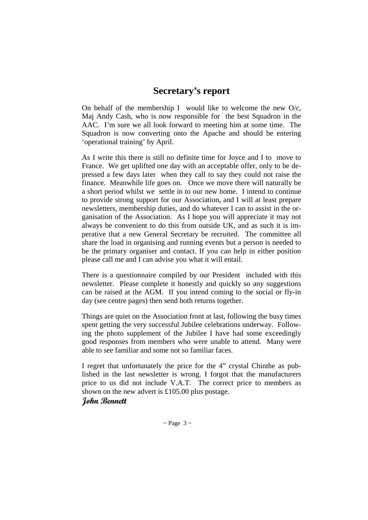# **Secretary's report**

On behalf of the membership I would like to welcome the new  $O/c$ , Maj Andy Cash, who is now responsible for the best Squadron in the AAC. I'm sure we all look forward to meeting him at some time. The Squadron is now converting onto the Apache and should be entering 'operational training' by April.

As I write this there is still no definite time for Joyce and I to move to France. We get uplifted one day with an acceptable offer, only to be depressed a few days later when they call to say they could not raise the finance. Meanwhile life goes on. Once we move there will naturally be a short period whilst we settle in to our new home. I intend to continue to provide strong support for our Association, and I will at least prepare newsletters, membership duties, and do whatever I can to assist in the organisation of the Association. As I hope you will appreciate it may not always be convenient to do this from outside UK, and as such it is imperative that a new General Secretary be recruited. The committee all share the load in organising and running events but a person is needed to be the primary organiser and contact. If you can help in either position please call me and I can advise you what it will entail.

There is a questionnaire compiled by our President included with this newsletter. Please complete it honestly and quickly so any suggestions can be raised at the AGM. If you intend coming to the social or fly-in day (see centre pages) then send both returns together.

Things are quiet on the Association front at last, following the busy times spent getting the very successful Jubilee celebrations underway. Following the photo supplement of the Jubilee I have had some exceedingly good responses from members who were unable to attend. Many were able to see familiar and some not so familiar faces.

I regret that unfortunately the price for the 4" crystal Chinthe as published in the last newsletter is wrong. I forgot that the manufacturers price to us did not include V.A.T. The correct price to members as shown on the new advert is £105.00 plus postage.

### **John Bennett**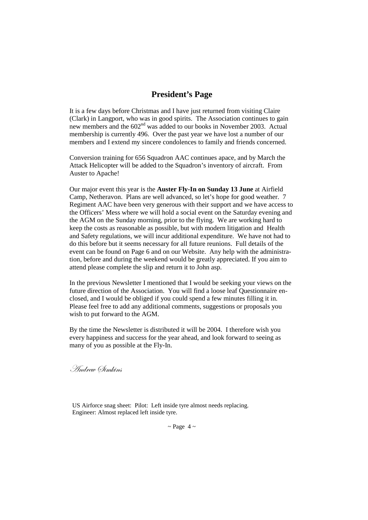## **President's Page**

It is a few days before Christmas and I have just returned from visiting Claire (Clark) in Langport, who was in good spirits. The Association continues to gain new members and the 602<sup>nd</sup> was added to our books in November 2003. Actual membership is currently 496. Over the past year we have lost a number of our members and I extend my sincere condolences to family and friends concerned.

Conversion training for 656 Squadron AAC continues apace, and by March the Attack Helicopter will be added to the Squadron's inventory of aircraft. From Auster to Apache!

Our major event this year is the **Auster Fly-In on Sunday 13 June** at Airfield Camp, Netheravon. Plans are well advanced, so let's hope for good weather. 7 Regiment AAC have been very generous with their support and we have access to the Officers' Mess where we will hold a social event on the Saturday evening and the AGM on the Sunday morning, prior to the flying. We are working hard to keep the costs as reasonable as possible, but with modern litigation and Health and Safety regulations, we will incur additional expenditure. We have not had to do this before but it seems necessary for all future reunions. Full details of the event can be found on Page 6 and on our Website. Any help with the administration, before and during the weekend would be greatly appreciated. If you aim to attend please complete the slip and return it to John asp.

In the previous Newsletter I mentioned that I would be seeking your views on the future direction of the Association. You will find a loose leaf Questionnaire enclosed, and I would be obliged if you could spend a few minutes filling it in. Please feel free to add any additional comments, suggestions or proposals you wish to put forward to the AGM.

By the time the Newsletter is distributed it will be 2004. I therefore wish you every happiness and success for the year ahead, and look forward to seeing as many of you as possible at the Fly-In.

. Andrew Øimkins

US Airforce snag sheet: Pilot: Left inside tyre almost needs replacing. Engineer: Almost replaced left inside tyre.

 $\sim$  Page 4  $\sim$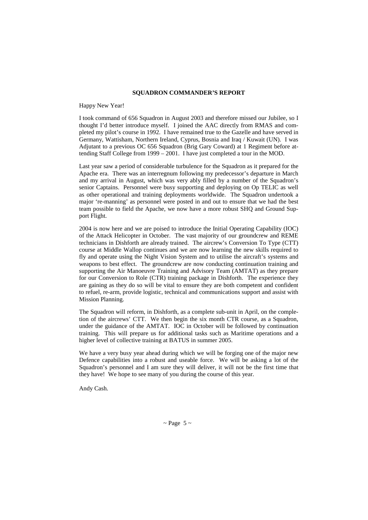#### **SQUADRON COMMANDER'S REPORT**

#### Happy New Year!

I took command of 656 Squadron in August 2003 and therefore missed our Jubilee, so I thought I'd better introduce myself. I joined the AAC directly from RMAS and completed my pilot's course in 1992. I have remained true to the Gazelle and have served in Germany, Wattisham, Northern Ireland, Cyprus, Bosnia and Iraq / Kuwait (UN). I was Adjutant to a previous OC 656 Squadron (Brig Gary Coward) at 1 Regiment before attending Staff College from 1999 – 2001. I have just completed a tour in the MOD.

Last year saw a period of considerable turbulence for the Squadron as it prepared for the Apache era. There was an interregnum following my predecessor's departure in March and my arrival in August, which was very ably filled by a number of the Squadron's senior Captains. Personnel were busy supporting and deploying on Op TELIC as well as other operational and training deployments worldwide. The Squadron undertook a major 're-manning' as personnel were posted in and out to ensure that we had the best team possible to field the Apache, we now have a more robust SHQ and Ground Support Flight.

2004 is now here and we are poised to introduce the Initial Operating Capability (IOC) of the Attack Helicopter in October. The vast majority of our groundcrew and REME technicians in Dishforth are already trained. The aircrew's Conversion To Type (CTT) course at Middle Wallop continues and we are now learning the new skills required to fly and operate using the Night Vision System and to utilise the aircraft's systems and weapons to best effect. The groundcrew are now conducting continuation training and supporting the Air Manoeuvre Training and Advisory Team (AMTAT) as they prepare for our Conversion to Role (CTR) training package in Dishforth. The experience they are gaining as they do so will be vital to ensure they are both competent and confident to refuel, re-arm, provide logistic, technical and communications support and assist with Mission Planning.

The Squadron will reform, in Dishforth, as a complete sub-unit in April, on the completion of the aircrews' CTT. We then begin the six month CTR course, as a Squadron, under the guidance of the AMTAT. IOC in October will be followed by continuation training. This will prepare us for additional tasks such as Maritime operations and a higher level of collective training at BATUS in summer 2005.

We have a very busy year ahead during which we will be forging one of the major new Defence capabilities into a robust and useable force. We will be asking a lot of the Squadron's personnel and I am sure they will deliver, it will not be the first time that they have! We hope to see many of you during the course of this year.

Andy Cash.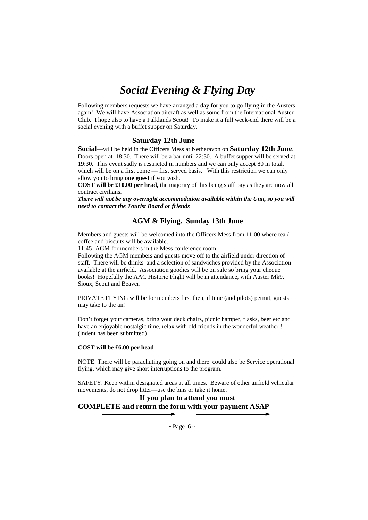# *Social Evening & Flying Day*

Following members requests we have arranged a day for you to go flying in the Austers again! We will have Association aircraft as well as some from the International Auster Club. I hope also to have a Falklands Scout! To make it a full week-end there will be a social evening with a buffet supper on Saturday.

#### **Saturday 12th June**

**Social**—will be held in the Officers Mess at Netheravon on **Saturday 12th June**. Doors open at 18:30. There will be a bar until 22:30. A buffet supper will be served at 19:30. This event sadly is restricted in numbers and we can only accept 80 in total, which will be on a first come — first served basis. With this restriction we can only allow you to bring **one guest** if you wish.

**COST will be £10.00 per head,** the majority of this being staff pay as they are now all contract civilians.

*There will not be any overnight accommodation available within the Unit, so you will need to contact the Tourist Board or friends* 

#### **AGM & Flying. Sunday 13th June**

Members and guests will be welcomed into the Officers Mess from 11:00 where tea / coffee and biscuits will be available.

11:45 AGM for members in the Mess conference room.

Following the AGM members and guests move off to the airfield under direction of staff. There will be drinks and a selection of sandwiches provided by the Association available at the airfield. Association goodies will be on sale so bring your cheque books! Hopefully the AAC Historic Flight will be in attendance, with Auster Mk9, Sioux, Scout and Beaver.

PRIVATE FLYING will be for members first then, if time (and pilots) permit, guests may take to the air!

Don't forget your cameras, bring your deck chairs, picnic hamper, flasks, beer etc and have an enjoyable nostalgic time, relax with old friends in the wonderful weather ! (Indent has been submitted)

#### **COST will be £6.00 per head**

NOTE: There will be parachuting going on and there could also be Service operational flying, which may give short interruptions to the program.

SAFETY. Keep within designated areas at all times. Beware of other airfield vehicular movements, do not drop litter—use the bins or take it home.

**If you plan to attend you must COMPLETE and return the form with your payment ASAP** 

 $\sim$  Page 6  $\sim$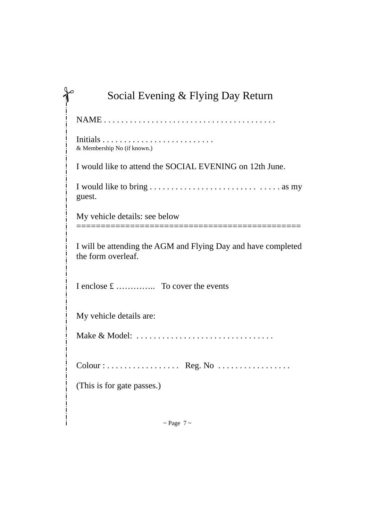| Social Evening & Flying Day Return                                                  |
|-------------------------------------------------------------------------------------|
|                                                                                     |
| & Membership No (if known.)                                                         |
| I would like to attend the SOCIAL EVENING on 12th June.                             |
| guest.                                                                              |
| My vehicle details: see below                                                       |
| I will be attending the AGM and Flying Day and have completed<br>the form overleaf. |
| I enclose £  To cover the events                                                    |
| My vehicle details are:                                                             |
| Make & Model:                                                                       |
| Colour: Reg. No                                                                     |
| (This is for gate passes.)                                                          |
|                                                                                     |
| $\sim$ Page 7 $\sim$                                                                |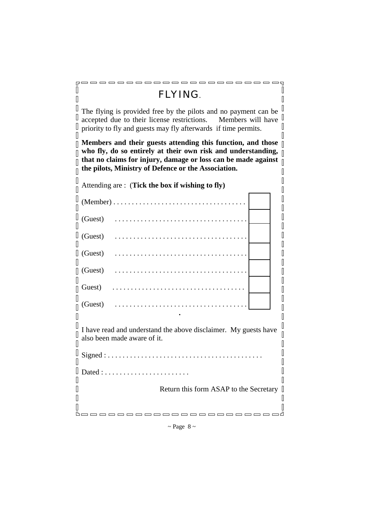|   | , _ _ _ _ _ _ _ _ _ _ _ _ _ _ _ _<br>roooooooo                                                                                                                                                                                                      |  |
|---|-----------------------------------------------------------------------------------------------------------------------------------------------------------------------------------------------------------------------------------------------------|--|
|   | <b>FLYING</b>                                                                                                                                                                                                                                       |  |
|   | The flying is provided free by the pilots and no payment can be<br>accepted due to their license restrictions. Members will have<br>priority to fly and guests may fly afterwards if time permits.                                                  |  |
|   | Members and their guests attending this function, and those<br>who fly, do so entirely at their own risk and understanding,<br>that no claims for injury, damage or loss can be made against<br>the pilots, Ministry of Defence or the Association. |  |
|   | Attending are: (Tick the box if wishing to fly)                                                                                                                                                                                                     |  |
|   |                                                                                                                                                                                                                                                     |  |
|   | (Guest)                                                                                                                                                                                                                                             |  |
|   | (Guest)                                                                                                                                                                                                                                             |  |
|   | (Guest)                                                                                                                                                                                                                                             |  |
|   | (Guest)                                                                                                                                                                                                                                             |  |
|   | Guest)                                                                                                                                                                                                                                              |  |
|   | (Guest)                                                                                                                                                                                                                                             |  |
|   | I have read and understand the above disclaimer. My guests have<br>also been made aware of it.                                                                                                                                                      |  |
|   | Signed:                                                                                                                                                                                                                                             |  |
| U | Dated : $\dots$                                                                                                                                                                                                                                     |  |
|   | Return this form ASAP to the Secretary                                                                                                                                                                                                              |  |
|   |                                                                                                                                                                                                                                                     |  |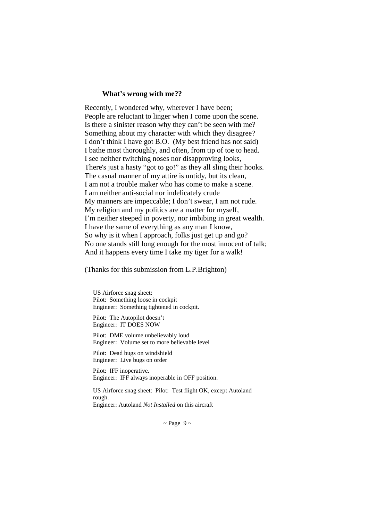#### **What's wrong with me??**

Recently, I wondered why, wherever I have been; People are reluctant to linger when I come upon the scene. Is there a sinister reason why they can't be seen with me? Something about my character with which they disagree? I don't think I have got B.O. (My best friend has not said) I bathe most thoroughly, and often, from tip of toe to head. I see neither twitching noses nor disapproving looks, There's just a hasty "got to go!" as they all sling their hooks. The casual manner of my attire is untidy, but its clean, I am not a trouble maker who has come to make a scene. I am neither anti-social nor indelicately crude My manners are impeccable; I don't swear, I am not rude. My religion and my politics are a matter for myself, I'm neither steeped in poverty, nor imbibing in great wealth. I have the same of everything as any man I know, So why is it when I approach, folks just get up and go? No one stands still long enough for the most innocent of talk; And it happens every time I take my tiger for a walk!

(Thanks for this submission from L.P.Brighton)

US Airforce snag sheet: Pilot: Something loose in cockpit Engineer: Something tightened in cockpit.

Pilot: The Autopilot doesn't Engineer: IT DOES NOW

Pilot: DME volume unbelievably loud Engineer: Volume set to more believable level

Pilot: Dead bugs on windshield Engineer: Live bugs on order

Pilot: IFF inoperative. Engineer: IFF always inoperable in OFF position.

US Airforce snag sheet: Pilot: Test flight OK, except Autoland rough. Engineer: Autoland *Not Installed* on this aircraft

 $\sim$  Page 9  $\sim$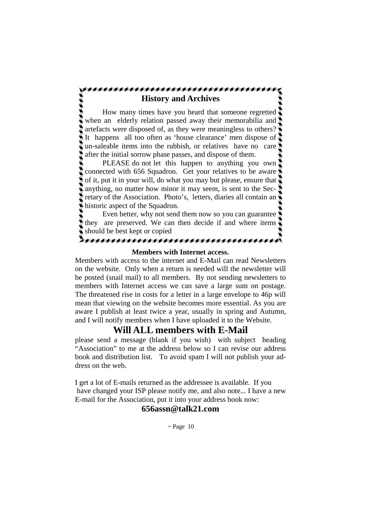### **History and Archives**

 How many times have you heard that someone regretted when an elderly relation passed away their memorabilia and artefacts were disposed of, as they were meaningless to others? It happens all too often as 'house clearance' men dispose of un-saleable items into the rubbish, or relatives have no care after the initial sorrow phase passes, and dispose of them.

 PLEASE do not let this happen to anything you own connected with 656 Squadron. Get your relatives to be aware of it, put it in your will, do what you may but please, ensure that anything, no matter how minor it may seem, is sent to the Secretary of the Association. Photo's, letters, diaries all contain an historic aspect of the Squadron.

 Even better, why not send them now so you can guarantee they are preserved. We can then decide if and where items should be best kept or copied

### **Members with Internet access.**

AAAAAAAAAAAAAA

Members with access to the internet and E-Mail can read Newsletters on the website. Only when a return is needed will the newsletter will be posted (snail mail) to all members. By not sending newsletters to members with Internet access we can save a large sum on postage. The threatened rise in costs for a letter in a large envelope to 46p will mean that viewing on the website becomes more essential. As you are aware I publish at least twice a year, usually in spring and Autumn, and I will notify members when I have uploaded it to the Website.

# **Will ALL members with E-Mail**

please send a message (blank if you wish) with subject heading "Association" to me at the address below so I can revise our address book and distribution list. To avoid spam I will not publish your address on the web.

I get a lot of E-mails returned as the addressee is available. If you have changed your ISP please notify me, and also note... I have a new E-mail for the Association, put it into your address book now:

### **656assn@talk21.com**

 $\sim$  Page 10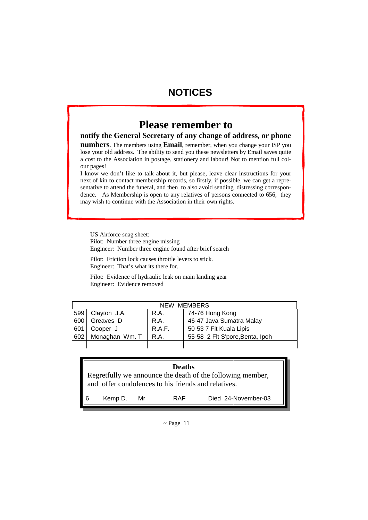# **NOTICES**

# **Please remember to**

#### **notify the General Secretary of any change of address, or phone**

**numbers**. The members using **Email**, remember, when you change your ISP you lose your old address. The ability to send you these newsletters by Email saves quite a cost to the Association in postage, stationery and labour! Not to mention full colour pages!

I know we don't like to talk about it, but please, leave clear instructions for your next of kin to contact membership records, so firstly, if possible, we can get a representative to attend the funeral, and then to also avoid sending distressing correspondence. As Membership is open to any relatives of persons connected to 656, they may wish to continue with the Association in their own rights.

US Airforce snag sheet: Pilot: Number three engine missing Engineer: Number three engine found after brief search

Pilot: Friction lock causes throttle levers to stick. Engineer: That's what its there for.

Pilot: Evidence of hydraulic leak on main landing gear Engineer: Evidence removed

| NEW MEMBERS |                |        |                                 |
|-------------|----------------|--------|---------------------------------|
| 599         | Clayton J.A.   | R.A.   | 74-76 Hong Kong                 |
| 600         | Greaves D      | R.A.   | 46-47 Java Sumatra Malay        |
| 601         | Cooper J       | R.A.F. | 50-53 7 Flt Kuala Lipis         |
| 602         | Monaghan Wm. T | R.A.   | 55-58 2 Flt S'pore, Benta, Ipoh |
|             |                |        |                                 |

| <b>Deaths</b>                                                                                                     |         |    |     |                     |
|-------------------------------------------------------------------------------------------------------------------|---------|----|-----|---------------------|
| Regretfully we announce the death of the following member,<br>and offer condolences to his friends and relatives. |         |    |     |                     |
| $\blacksquare$                                                                                                    | Kemp D. | Mr | RAF | Died 24-November-03 |